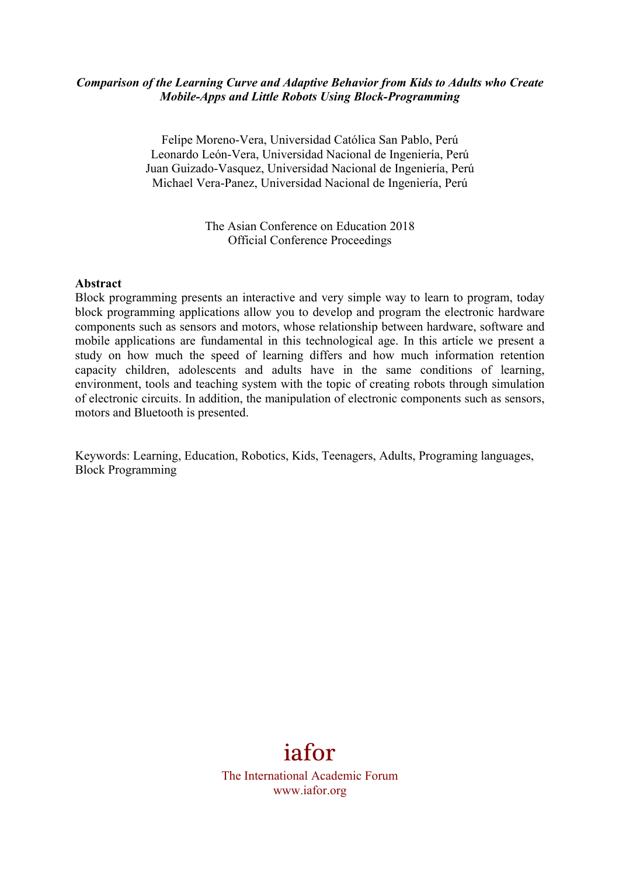### *Comparison of the Learning Curve and Adaptive Behavior from Kids to Adults who Create Mobile-Apps and Little Robots Using Block-Programming*

Felipe Moreno-Vera, Universidad Católica San Pablo, Perú Leonardo León-Vera, Universidad Nacional de Ingeniería, Perú Juan Guizado-Vasquez, Universidad Nacional de Ingeniería, Perú Michael Vera-Panez, Universidad Nacional de Ingeniería, Perú

> The Asian Conference on Education 2018 Official Conference Proceedings

#### **Abstract**

Block programming presents an interactive and very simple way to learn to program, today block programming applications allow you to develop and program the electronic hardware components such as sensors and motors, whose relationship between hardware, software and mobile applications are fundamental in this technological age. In this article we present a study on how much the speed of learning differs and how much information retention capacity children, adolescents and adults have in the same conditions of learning, environment, tools and teaching system with the topic of creating robots through simulation of electronic circuits. In addition, the manipulation of electronic components such as sensors, motors and Bluetooth is presented.

Keywords: Learning, Education, Robotics, Kids, Teenagers, Adults, Programing languages, Block Programming



The International Academic Forum www.iafor.org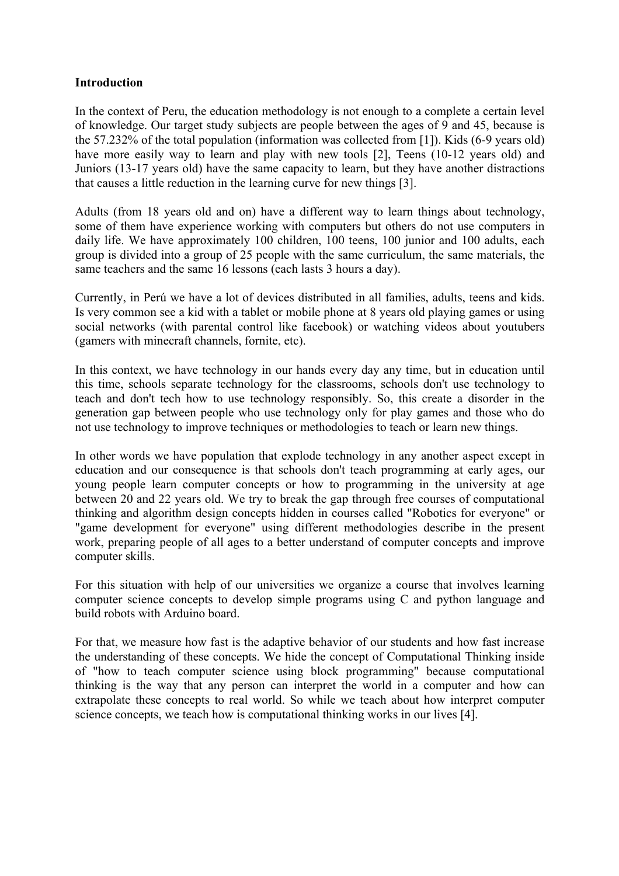### **Introduction**

In the context of Peru, the education methodology is not enough to a complete a certain level of knowledge. Our target study subjects are people between the ages of 9 and 45, because is the 57.232% of the total population (information was collected from [1]). Kids (6-9 years old) have more easily way to learn and play with new tools [2]. Teens (10-12 years old) and Juniors (13-17 years old) have the same capacity to learn, but they have another distractions that causes a little reduction in the learning curve for new things [3].

Adults (from 18 years old and on) have a different way to learn things about technology, some of them have experience working with computers but others do not use computers in daily life. We have approximately 100 children, 100 teens, 100 junior and 100 adults, each group is divided into a group of 25 people with the same curriculum, the same materials, the same teachers and the same 16 lessons (each lasts 3 hours a day).

Currently, in Perú we have a lot of devices distributed in all families, adults, teens and kids. Is very common see a kid with a tablet or mobile phone at 8 years old playing games or using social networks (with parental control like facebook) or watching videos about youtubers (gamers with minecraft channels, fornite, etc).

In this context, we have technology in our hands every day any time, but in education until this time, schools separate technology for the classrooms, schools don't use technology to teach and don't tech how to use technology responsibly. So, this create a disorder in the generation gap between people who use technology only for play games and those who do not use technology to improve techniques or methodologies to teach or learn new things.

In other words we have population that explode technology in any another aspect except in education and our consequence is that schools don't teach programming at early ages, our young people learn computer concepts or how to programming in the university at age between 20 and 22 years old. We try to break the gap through free courses of computational thinking and algorithm design concepts hidden in courses called "Robotics for everyone" or "game development for everyone" using different methodologies describe in the present work, preparing people of all ages to a better understand of computer concepts and improve computer skills.

For this situation with help of our universities we organize a course that involves learning computer science concepts to develop simple programs using C and python language and build robots with Arduino board.

For that, we measure how fast is the adaptive behavior of our students and how fast increase the understanding of these concepts. We hide the concept of Computational Thinking inside of "how to teach computer science using block programming" because computational thinking is the way that any person can interpret the world in a computer and how can extrapolate these concepts to real world. So while we teach about how interpret computer science concepts, we teach how is computational thinking works in our lives [4].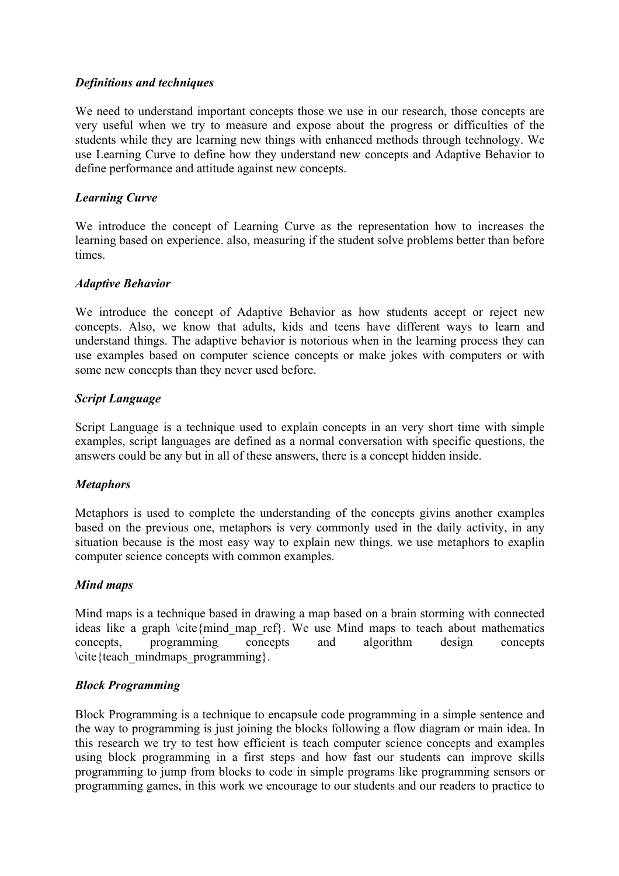# *Definitions and techniques*

We need to understand important concepts those we use in our research, those concepts are very useful when we try to measure and expose about the progress or difficulties of the students while they are learning new things with enhanced methods through technology. We use Learning Curve to define how they understand new concepts and Adaptive Behavior to define performance and attitude against new concepts.

### *Learning Curve*

We introduce the concept of Learning Curve as the representation how to increases the learning based on experience. also, measuring if the student solve problems better than before times.

### *Adaptive Behavior*

We introduce the concept of Adaptive Behavior as how students accept or reject new concepts. Also, we know that adults, kids and teens have different ways to learn and understand things. The adaptive behavior is notorious when in the learning process they can use examples based on computer science concepts or make jokes with computers or with some new concepts than they never used before.

### *Script Language*

Script Language is a technique used to explain concepts in an very short time with simple examples, script languages are defined as a normal conversation with specific questions, the answers could be any but in all of these answers, there is a concept hidden inside.

### *Metaphors*

Metaphors is used to complete the understanding of the concepts givins another examples based on the previous one, metaphors is very commonly used in the daily activity, in any situation because is the most easy way to explain new things. we use metaphors to exaplin computer science concepts with common examples.

### *Mind maps*

Mind maps is a technique based in drawing a map based on a brain storming with connected ideas like a graph \cite{mind map ref}. We use Mind maps to teach about mathematics concepts, programming concepts and algorithm design concepts \cite{teach\_mindmaps\_programming}.

### *Block Programming*

Block Programming is a technique to encapsule code programming in a simple sentence and the way to programming is just joining the blocks following a flow diagram or main idea. In this research we try to test how efficient is teach computer science concepts and examples using block programming in a first steps and how fast our students can improve skills programming to jump from blocks to code in simple programs like programming sensors or programming games, in this work we encourage to our students and our readers to practice to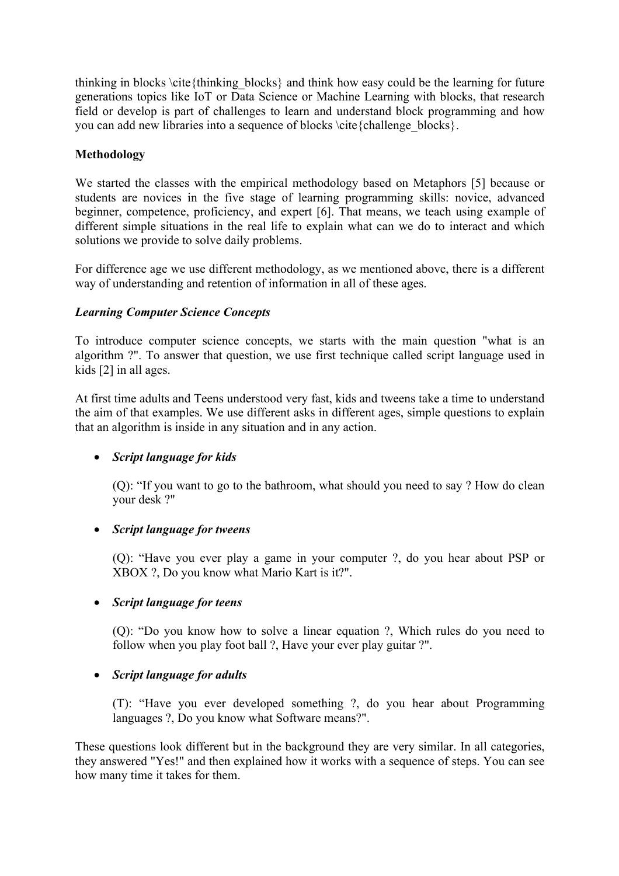thinking in blocks \cite{thinking\_blocks} and think how easy could be the learning for future generations topics like IoT or Data Science or Machine Learning with blocks, that research field or develop is part of challenges to learn and understand block programming and how you can add new libraries into a sequence of blocks \cite{challenge\_blocks}.

# **Methodology**

We started the classes with the empirical methodology based on Metaphors [5] because or students are novices in the five stage of learning programming skills: novice, advanced beginner, competence, proficiency, and expert [6]. That means, we teach using example of different simple situations in the real life to explain what can we do to interact and which solutions we provide to solve daily problems.

For difference age we use different methodology, as we mentioned above, there is a different way of understanding and retention of information in all of these ages.

# *Learning Computer Science Concepts*

To introduce computer science concepts, we starts with the main question "what is an algorithm ?". To answer that question, we use first technique called script language used in kids [2] in all ages.

At first time adults and Teens understood very fast, kids and tweens take a time to understand the aim of that examples. We use different asks in different ages, simple questions to explain that an algorithm is inside in any situation and in any action.

# • *Script language for kids*

(Q): "If you want to go to the bathroom, what should you need to say ? How do clean your desk ?"

# • *Script language for tweens*

(Q): "Have you ever play a game in your computer ?, do you hear about PSP or XBOX ?, Do you know what Mario Kart is it?".

# • *Script language for teens*

(Q): "Do you know how to solve a linear equation ?, Which rules do you need to follow when you play foot ball ?, Have your ever play guitar ?".

# • *Script language for adults*

(T): "Have you ever developed something ?, do you hear about Programming languages ?, Do you know what Software means?".

These questions look different but in the background they are very similar. In all categories, they answered "Yes!" and then explained how it works with a sequence of steps. You can see how many time it takes for them.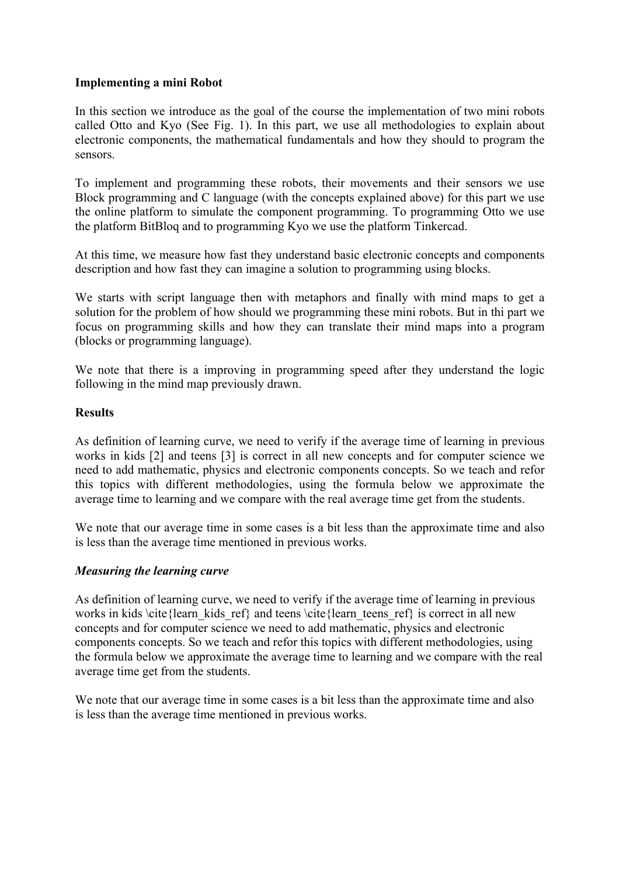### **Implementing a mini Robot**

In this section we introduce as the goal of the course the implementation of two mini robots called Otto and Kyo (See Fig. 1). In this part, we use all methodologies to explain about electronic components, the mathematical fundamentals and how they should to program the sensors.

To implement and programming these robots, their movements and their sensors we use Block programming and C language (with the concepts explained above) for this part we use the online platform to simulate the component programming. To programming Otto we use the platform BitBloq and to programming Kyo we use the platform Tinkercad.

At this time, we measure how fast they understand basic electronic concepts and components description and how fast they can imagine a solution to programming using blocks.

We starts with script language then with metaphors and finally with mind maps to get a solution for the problem of how should we programming these mini robots. But in thi part we focus on programming skills and how they can translate their mind maps into a program (blocks or programming language).

We note that there is a improving in programming speed after they understand the logic following in the mind map previously drawn.

### **Results**

As definition of learning curve, we need to verify if the average time of learning in previous works in kids [2] and teens [3] is correct in all new concepts and for computer science we need to add mathematic, physics and electronic components concepts. So we teach and refor this topics with different methodologies, using the formula below we approximate the average time to learning and we compare with the real average time get from the students.

We note that our average time in some cases is a bit less than the approximate time and also is less than the average time mentioned in previous works.

### *Measuring the learning curve*

As definition of learning curve, we need to verify if the average time of learning in previous works in kids  $\c{learn$  kids ref} and teens  $\c{learn}$  teens ref} is correct in all new concepts and for computer science we need to add mathematic, physics and electronic components concepts. So we teach and refor this topics with different methodologies, using the formula below we approximate the average time to learning and we compare with the real average time get from the students.

We note that our average time in some cases is a bit less than the approximate time and also is less than the average time mentioned in previous works.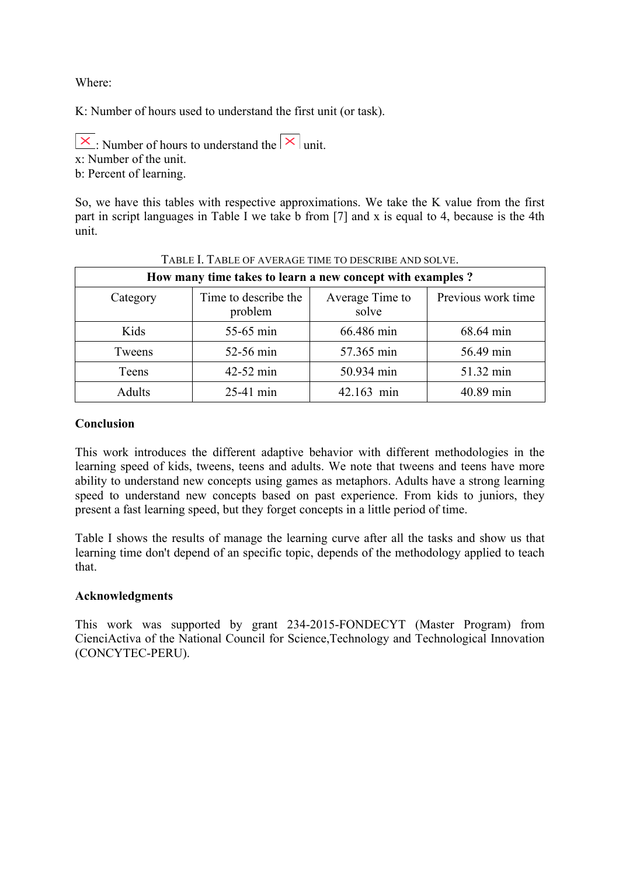Where:

K: Number of hours used to understand the first unit (or task).

 $\vert \times \vert$ . Number of hours to understand the  $\vert \times \vert$  unit.

x: Number of the unit.

b: Percent of learning.

So, we have this tables with respective approximations. We take the K value from the first part in script languages in Table I we take b from [7] and x is equal to 4, because is the 4th unit.

| How many time takes to learn a new concept with examples? |                                 |                          |                    |
|-----------------------------------------------------------|---------------------------------|--------------------------|--------------------|
| Category                                                  | Time to describe the<br>problem | Average Time to<br>solve | Previous work time |
| Kids                                                      | 55-65 min                       | 66.486 min               | 68.64 min          |
| Tweens                                                    | 52-56 min                       | 57.365 min               | 56.49 min          |
| Teens                                                     | 42-52 min                       | 50.934 min               | 51.32 min          |
| <b>Adults</b>                                             | $25-41$ min                     | 42.163 min               | 40.89 min          |

#### TABLE I. TABLE OF AVERAGE TIME TO DESCRIBE AND SOLVE.

### **Conclusion**

This work introduces the different adaptive behavior with different methodologies in the learning speed of kids, tweens, teens and adults. We note that tweens and teens have more ability to understand new concepts using games as metaphors. Adults have a strong learning speed to understand new concepts based on past experience. From kids to juniors, they present a fast learning speed, but they forget concepts in a little period of time.

Table I shows the results of manage the learning curve after all the tasks and show us that learning time don't depend of an specific topic, depends of the methodology applied to teach that.

### **Acknowledgments**

This work was supported by grant 234-2015-FONDECYT (Master Program) from CienciActiva of the National Council for Science,Technology and Technological Innovation (CONCYTEC-PERU).